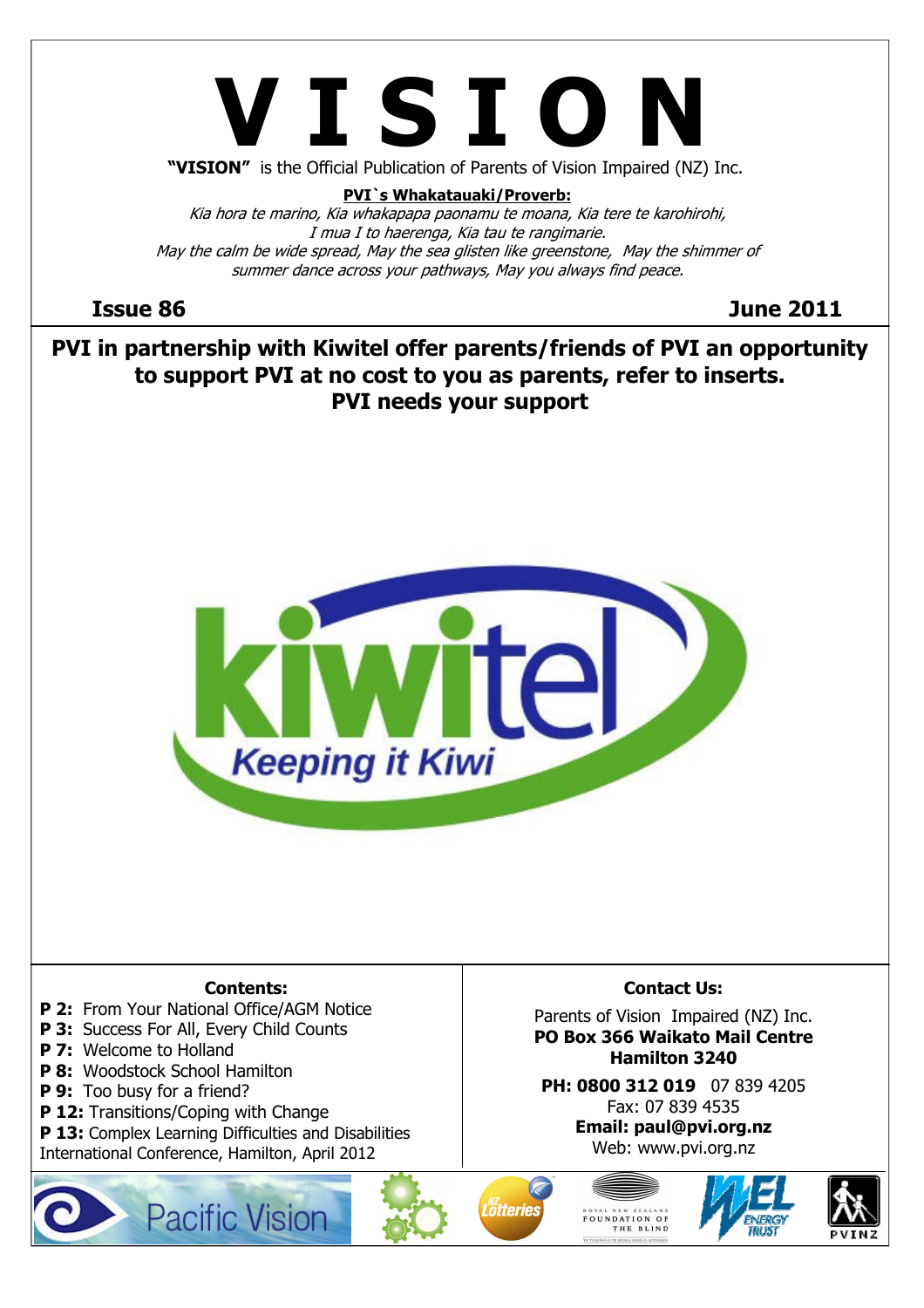# V I S I O N

"VISION" is the Official Publication of Parents of Vision Impaired (NZ) Inc.

PVI`s Whakatauaki/Proverb:

Kia hora te marino, Kia whakapapa paonamu te moana, Kia tere te karohirohi, I mua I to haerenga, Kia tau te rangimarie. May the calm be wide spread, May the sea glisten like greenstone, May the shimmer of summer dance across your pathways, May you always find peace.

Issue 86 June 2011

PVI in partnership with Kiwitel offer parents/friends of PVI an opportunity to support PVI at no cost to you as parents, refer to inserts. PVI needs your support



#### Contents:

- P 2: From Your National Office/AGM Notice
- **P 3:** Success For All, Every Child Counts
- P 7: Welcome to Holland
- P 8: Woodstock School Hamilton
- **P 9:** Too busy for a friend?
- P 12: Transitions/Coping with Change
- **P 13:** Complex Learning Difficulties and Disabilities

**Pacific Vision** 

International Conference, Hamilton, April 2012

#### Contact Us:

Parents of Vision Impaired (NZ) Inc. PO Box 366 Waikato Mail Centre Hamilton 3240

PH: 0800 312 019 07 839 4205 Fax: 07 839 4535 Email: paul@pvi.org.nz Web: www.pvi.org.nz







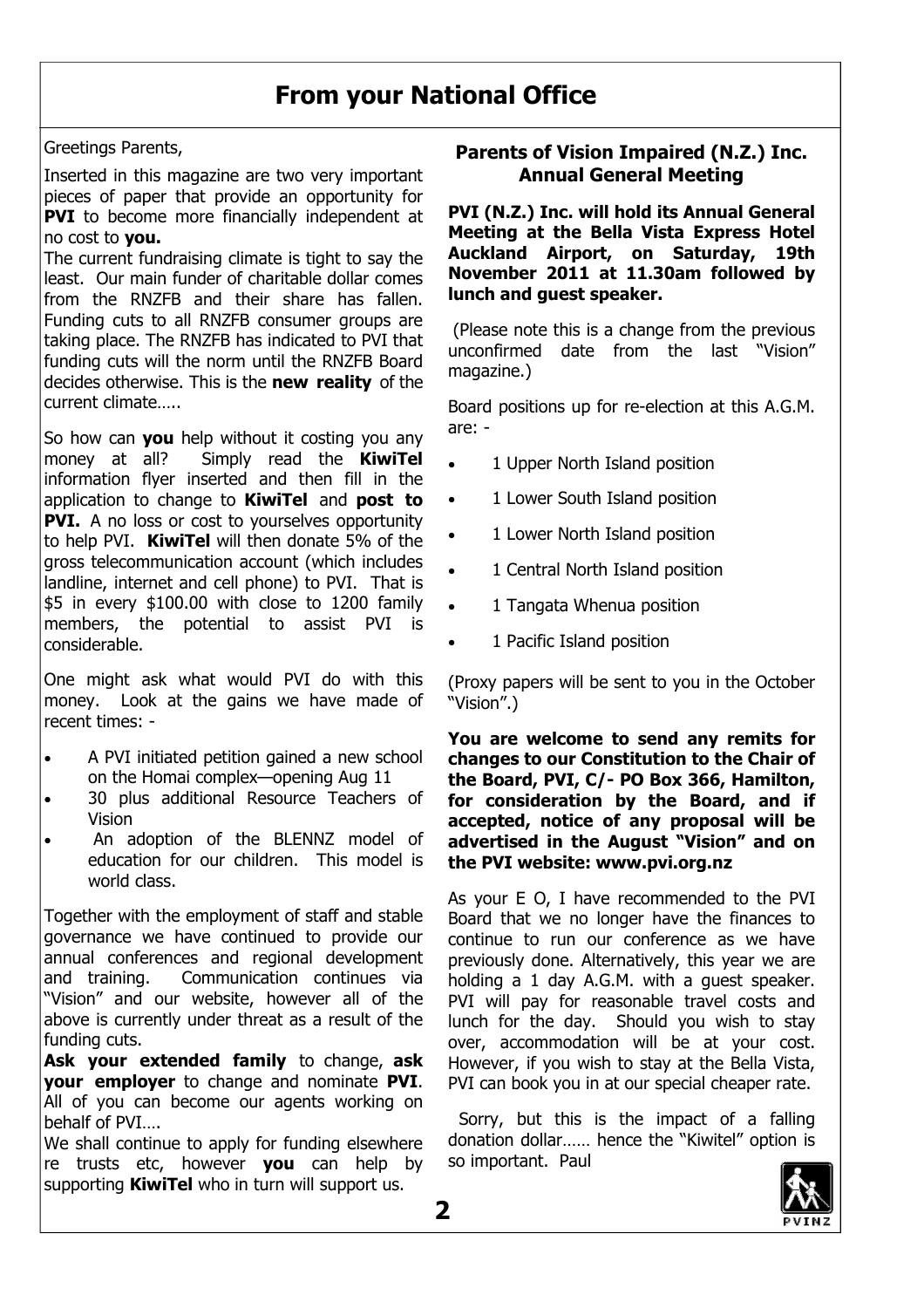## From your National Office

#### Greetings Parents,

Inserted in this magazine are two very important pieces of paper that provide an opportunity for **PVI** to become more financially independent at no cost to you.

The current fundraising climate is tight to say the least. Our main funder of charitable dollar comes from the RNZFB and their share has fallen. Funding cuts to all RNZFB consumer groups are taking place. The RNZFB has indicated to PVI that funding cuts will the norm until the RNZFB Board decides otherwise. This is the new reality of the current climate…..

So how can **you** help without it costing you any money at all? Simply read the **KiwiTel** information flyer inserted and then fill in the application to change to **KiwiTel** and **post to PVI.** A no loss or cost to yourselves opportunity to help PVI. **KiwiTel** will then donate 5% of the gross telecommunication account (which includes landline, internet and cell phone) to PVI. That is \$5 in every \$100.00 with close to 1200 family members, the potential to assist PVI is considerable.

One might ask what would PVI do with this money. Look at the gains we have made of recent times: -

- A PVI initiated petition gained a new school on the Homai complex—opening Aug 11
- 30 plus additional Resource Teachers of Vision
- An adoption of the BLENNZ model of education for our children. This model is world class.

Together with the employment of staff and stable governance we have continued to provide our annual conferences and regional development and training. Communication continues via "Vision" and our website, however all of the above is currently under threat as a result of the funding cuts.

Ask your extended family to change, ask your employer to change and nominate PVI. All of you can become our agents working on behalf of PVI….

We shall continue to apply for funding elsewhere re trusts etc, however **you** can help by supporting **KiwiTel** who in turn will support us.

#### Parents of Vision Impaired (N.Z.) Inc. Annual General Meeting

PVI (N.Z.) Inc. will hold its Annual General Meeting at the Bella Vista Express Hotel Auckland Airport, on Saturday, 19th November 2011 at 11.30am followed by lunch and guest speaker.

(Please note this is a change from the previous unconfirmed date from the last "Vision" magazine.)

Board positions up for re-election at this A.G.M. are: -

- 1 Upper North Island position
- 1 Lower South Island position
- 1 Lower North Island position
- 1 Central North Island position
- 1 Tangata Whenua position
- 1 Pacific Island position

(Proxy papers will be sent to you in the October "Vision".)

You are welcome to send any remits for changes to our Constitution to the Chair of the Board, PVI, C/- PO Box 366, Hamilton, for consideration by the Board, and if accepted, notice of any proposal will be advertised in the August "Vision" and on the PVI website: www.pvi.org.nz

As your E O, I have recommended to the PVI Board that we no longer have the finances to continue to run our conference as we have previously done. Alternatively, this year we are holding a 1 day A.G.M. with a guest speaker. PVI will pay for reasonable travel costs and lunch for the day. Should you wish to stay over, accommodation will be at your cost. However, if you wish to stay at the Bella Vista, PVI can book you in at our special cheaper rate.

 Sorry, but this is the impact of a falling donation dollar…… hence the "Kiwitel" option is so important. Paul

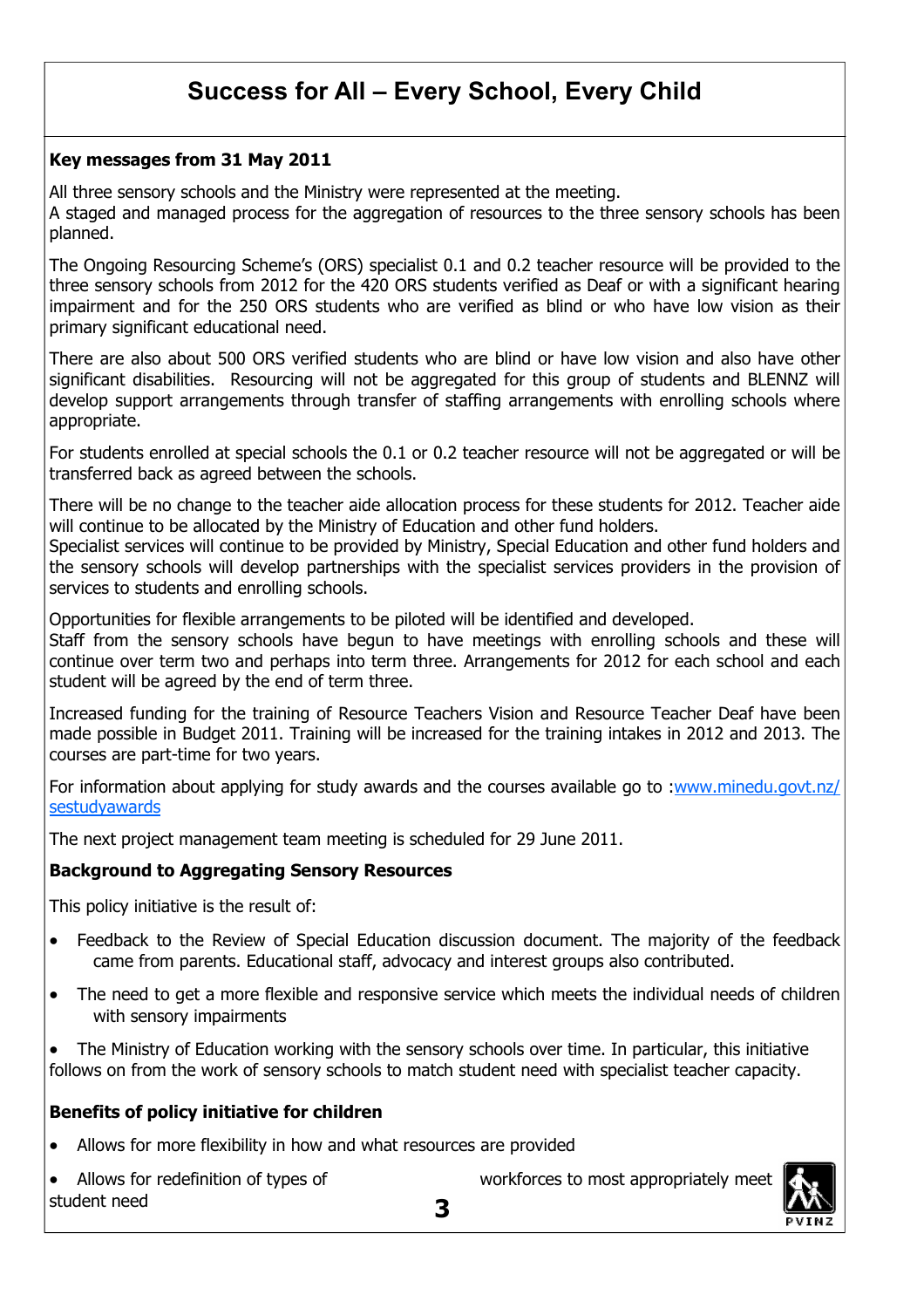## Success for All – Every School, Every Child

#### Key messages from 31 May 2011

All three sensory schools and the Ministry were represented at the meeting.

A staged and managed process for the aggregation of resources to the three sensory schools has been planned.

The Ongoing Resourcing Scheme's (ORS) specialist 0.1 and 0.2 teacher resource will be provided to the three sensory schools from 2012 for the 420 ORS students verified as Deaf or with a significant hearing impairment and for the 250 ORS students who are verified as blind or who have low vision as their primary significant educational need.

There are also about 500 ORS verified students who are blind or have low vision and also have other significant disabilities. Resourcing will not be aggregated for this group of students and BLENNZ will develop support arrangements through transfer of staffing arrangements with enrolling schools where appropriate.

For students enrolled at special schools the 0.1 or 0.2 teacher resource will not be aggregated or will be transferred back as agreed between the schools.

There will be no change to the teacher aide allocation process for these students for 2012. Teacher aide will continue to be allocated by the Ministry of Education and other fund holders.

Specialist services will continue to be provided by Ministry, Special Education and other fund holders and the sensory schools will develop partnerships with the specialist services providers in the provision of services to students and enrolling schools.

Opportunities for flexible arrangements to be piloted will be identified and developed.

Staff from the sensory schools have begun to have meetings with enrolling schools and these will continue over term two and perhaps into term three. Arrangements for 2012 for each school and each student will be agreed by the end of term three.

Increased funding for the training of Resource Teachers Vision and Resource Teacher Deaf have been made possible in Budget 2011. Training will be increased for the training intakes in 2012 and 2013. The courses are part-time for two years.

For information about applying for study awards and the courses available go to :www.minedu.govt.nz/ sestudyawards

The next project management team meeting is scheduled for 29 June 2011.

#### Background to Aggregating Sensory Resources

This policy initiative is the result of:

- Feedback to the Review of Special Education discussion document. The majority of the feedback came from parents. Educational staff, advocacy and interest groups also contributed.
- The need to get a more flexible and responsive service which meets the individual needs of children with sensory impairments
- The Ministry of Education working with the sensory schools over time. In particular, this initiative follows on from the work of sensory schools to match student need with specialist teacher capacity.

#### Benefits of policy initiative for children

- Allows for more flexibility in how and what resources are provided
- Allows for redefinition of types of workforces to most appropriately meet student need

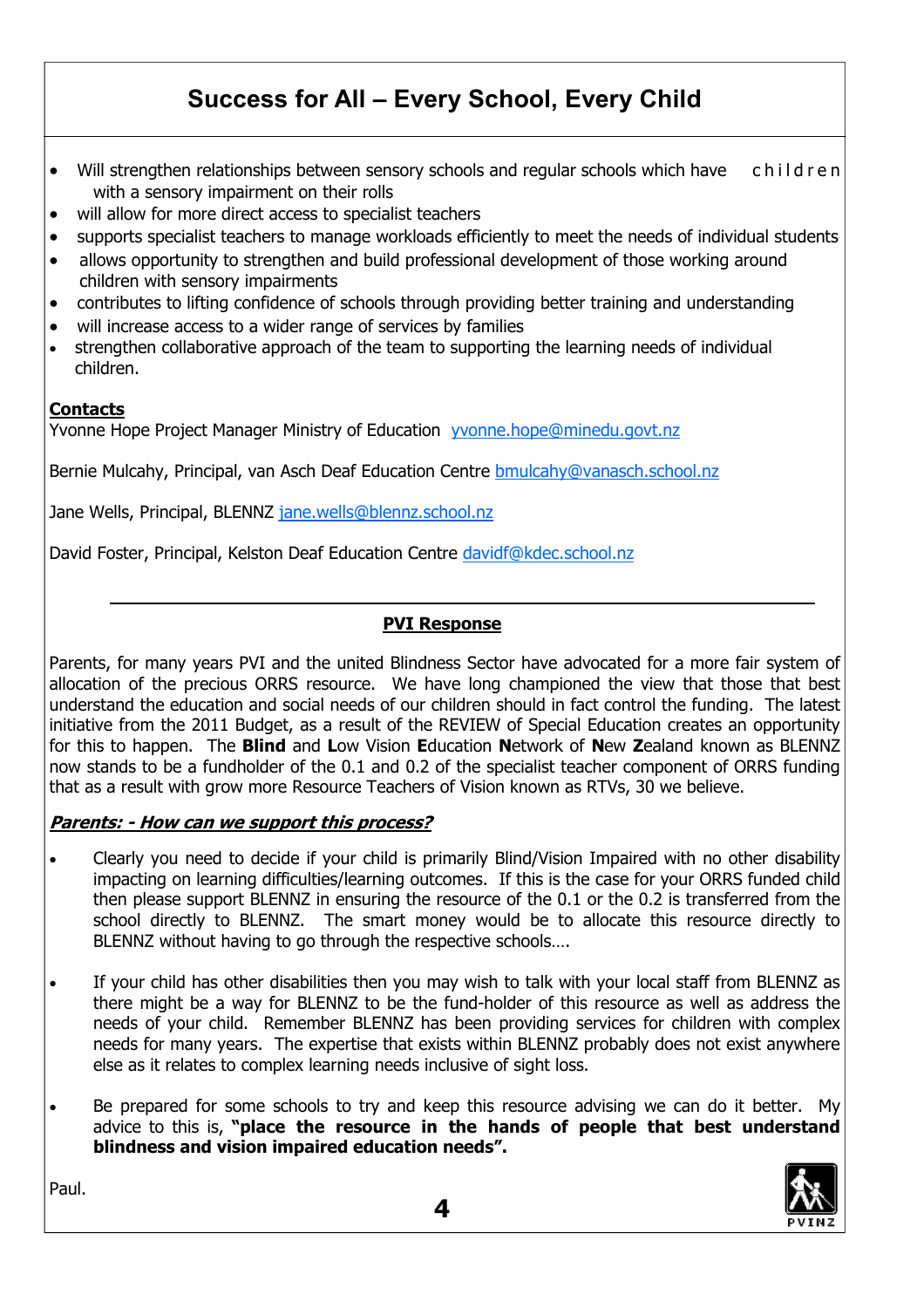# Success for All – Every School, Every Child

- Will strengthen relationships between sensory schools and regular schools which have child r e n with a sensory impairment on their rolls
- will allow for more direct access to specialist teachers
- supports specialist teachers to manage workloads efficiently to meet the needs of individual students
- allows opportunity to strengthen and build professional development of those working around children with sensory impairments
- contributes to lifting confidence of schools through providing better training and understanding
- will increase access to a wider range of services by families
- strengthen collaborative approach of the team to supporting the learning needs of individual children.

#### **Contacts**

Yvonne Hope Project Manager Ministry of Education yvonne.hope@minedu.govt.nz

Bernie Mulcahy, Principal, van Asch Deaf Education Centre bmulcahy@vanasch.school.nz

Jane Wells, Principal, BLENNZ jane.wells@blennz.school.nz

David Foster, Principal, Kelston Deaf Education Centre davidf@kdec.school.nz

#### PVI Response

Parents, for many years PVI and the united Blindness Sector have advocated for a more fair system of allocation of the precious ORRS resource. We have long championed the view that those that best understand the education and social needs of our children should in fact control the funding. The latest initiative from the 2011 Budget, as a result of the REVIEW of Special Education creates an opportunity for this to happen. The **Blind** and Low Vision Education Network of New Zealand known as BLENNZ now stands to be a fundholder of the 0.1 and 0.2 of the specialist teacher component of ORRS funding that as a result with grow more Resource Teachers of Vision known as RTVs, 30 we believe.

#### Parents: - How can we support this process?

- Clearly you need to decide if your child is primarily Blind/Vision Impaired with no other disability impacting on learning difficulties/learning outcomes. If this is the case for your ORRS funded child then please support BLENNZ in ensuring the resource of the 0.1 or the 0.2 is transferred from the school directly to BLENNZ. The smart money would be to allocate this resource directly to BLENNZ without having to go through the respective schools….
- If your child has other disabilities then you may wish to talk with your local staff from BLENNZ as there might be a way for BLENNZ to be the fund-holder of this resource as well as address the needs of your child. Remember BLENNZ has been providing services for children with complex needs for many years. The expertise that exists within BLENNZ probably does not exist anywhere else as it relates to complex learning needs inclusive of sight loss.
- Be prepared for some schools to try and keep this resource advising we can do it better. My advice to this is, "place the resource in the hands of people that best understand blindness and vision impaired education needs".

Paul.

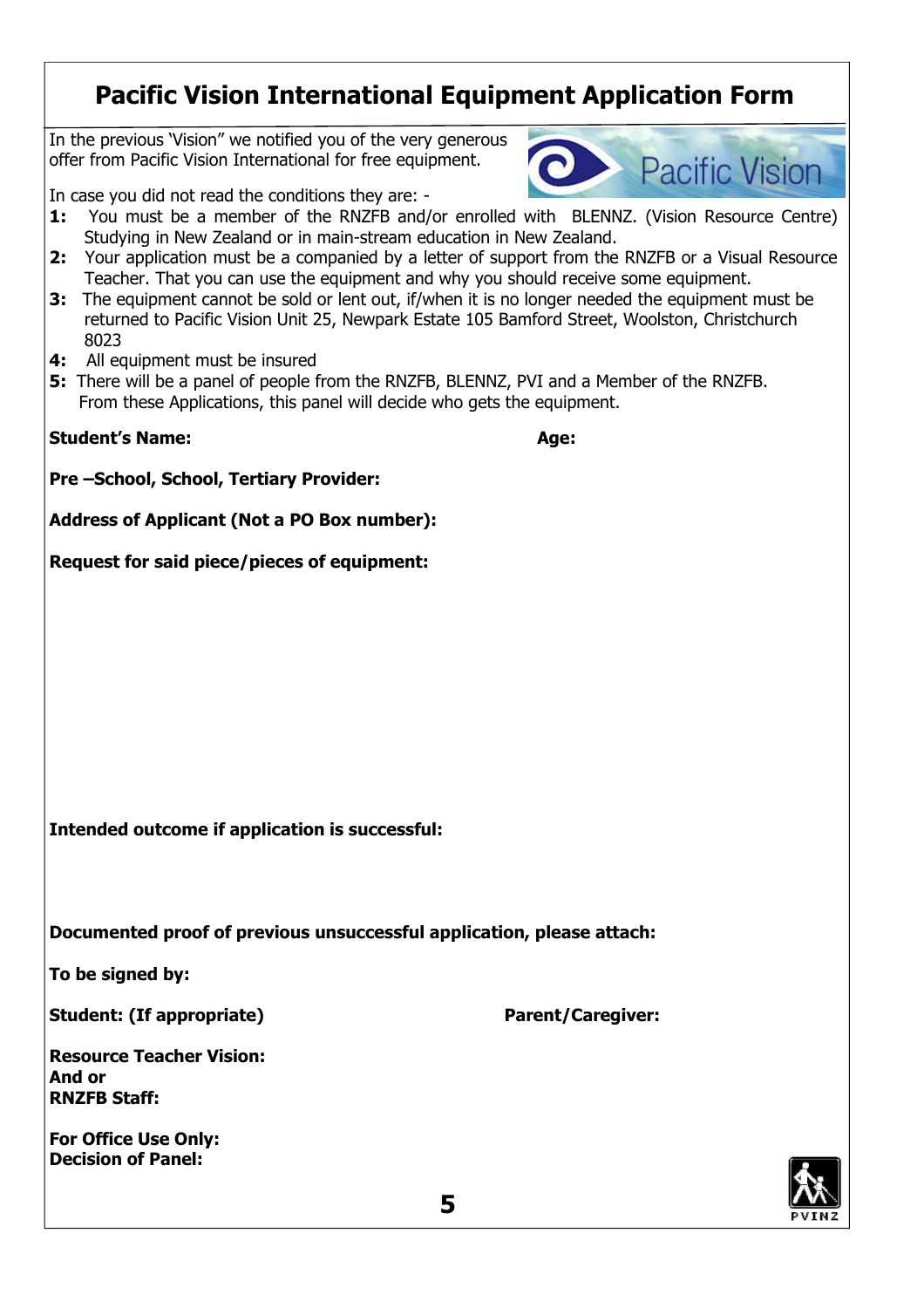# Pacific Vision International Equipment Application Form

In the previous 'Vision" we notified you of the very generous offer from Pacific Vision International for free equipment.



In case you did not read the conditions they are: -

- 1: You must be a member of the RNZFB and/or enrolled with BLENNZ. (Vision Resource Centre) Studying in New Zealand or in main-stream education in New Zealand.
- 2: Your application must be a companied by a letter of support from the RNZFB or a Visual Resource Teacher. That you can use the equipment and why you should receive some equipment.
- 3: The equipment cannot be sold or lent out, if/when it is no longer needed the equipment must be returned to Pacific Vision Unit 25, Newpark Estate 105 Bamford Street, Woolston, Christchurch 8023
- 4: All equipment must be insured
- 5: There will be a panel of people from the RNZFB, BLENNZ, PVI and a Member of the RNZFB. From these Applications, this panel will decide who gets the equipment.

Student's Name: Age:

Pre –School, School, Tertiary Provider:

Address of Applicant (Not a PO Box number):

Request for said piece/pieces of equipment:

Intended outcome if application is successful:

Documented proof of previous unsuccessful application, please attach:

To be signed by:

Student: (If appropriate) example a set of the Parent/Caregiver:

Resource Teacher Vision: And or RNZFB Staff:

For Office Use Only: Decision of Panel:

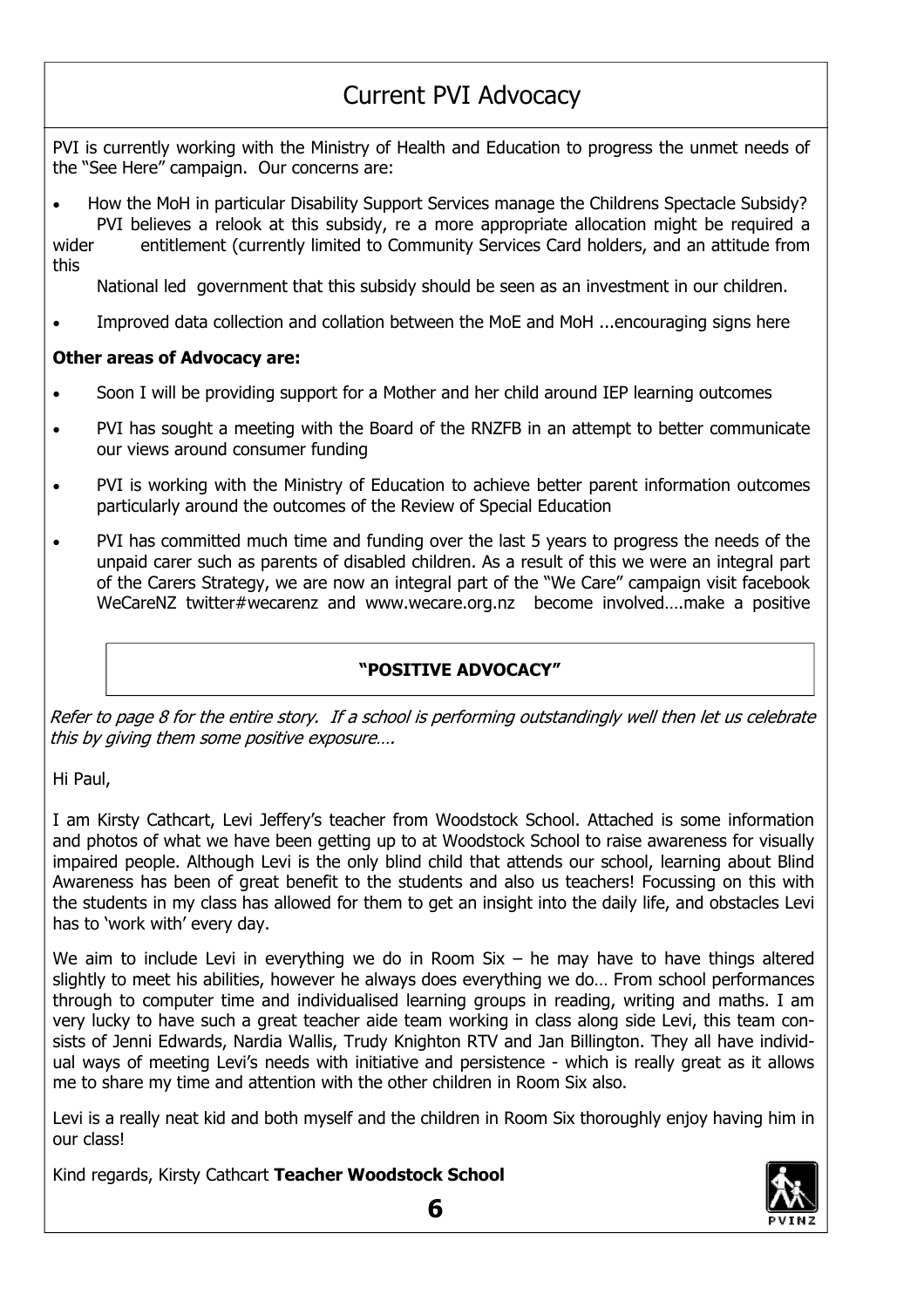# Current PVI Advocacy

PVI is currently working with the Ministry of Health and Education to progress the unmet needs of the "See Here" campaign. Our concerns are:

• How the MoH in particular Disability Support Services manage the Childrens Spectacle Subsidy? PVI believes a relook at this subsidy, re a more appropriate allocation might be required a wider entitlement (currently limited to Community Services Card holders, and an attitude from this

National led government that this subsidy should be seen as an investment in our children.

• Improved data collection and collation between the MoE and MoH ...encouraging signs here

#### Other areas of Advocacy are:

- Soon I will be providing support for a Mother and her child around IEP learning outcomes
- PVI has sought a meeting with the Board of the RNZFB in an attempt to better communicate our views around consumer funding
- PVI is working with the Ministry of Education to achieve better parent information outcomes particularly around the outcomes of the Review of Special Education
- PVI has committed much time and funding over the last 5 years to progress the needs of the unpaid carer such as parents of disabled children. As a result of this we were an integral part of the Carers Strategy, we are now an integral part of the "We Care" campaign visit facebook WeCareNZ twitter#wecarenz and www.wecare.org.nz become involved….make a positive

#### "POSITIVE ADVOCACY"

Refer to page 8 for the entire story. If a school is performing outstandingly well then let us celebrate this by giving them some positive exposure….

Hi Paul,

I am Kirsty Cathcart, Levi Jeffery's teacher from Woodstock School. Attached is some information and photos of what we have been getting up to at Woodstock School to raise awareness for visually impaired people. Although Levi is the only blind child that attends our school, learning about Blind Awareness has been of great benefit to the students and also us teachers! Focussing on this with the students in my class has allowed for them to get an insight into the daily life, and obstacles Levi has to 'work with' every day.

We aim to include Levi in everything we do in Room Six – he may have to have things altered slightly to meet his abilities, however he always does everything we do… From school performances through to computer time and individualised learning groups in reading, writing and maths. I am very lucky to have such a great teacher aide team working in class along side Levi, this team consists of Jenni Edwards, Nardia Wallis, Trudy Knighton RTV and Jan Billington. They all have individual ways of meeting Levi's needs with initiative and persistence - which is really great as it allows me to share my time and attention with the other children in Room Six also.

Levi is a really neat kid and both myself and the children in Room Six thoroughly enjoy having him in our class!

Kind regards, Kirsty Cathcart Teacher Woodstock School

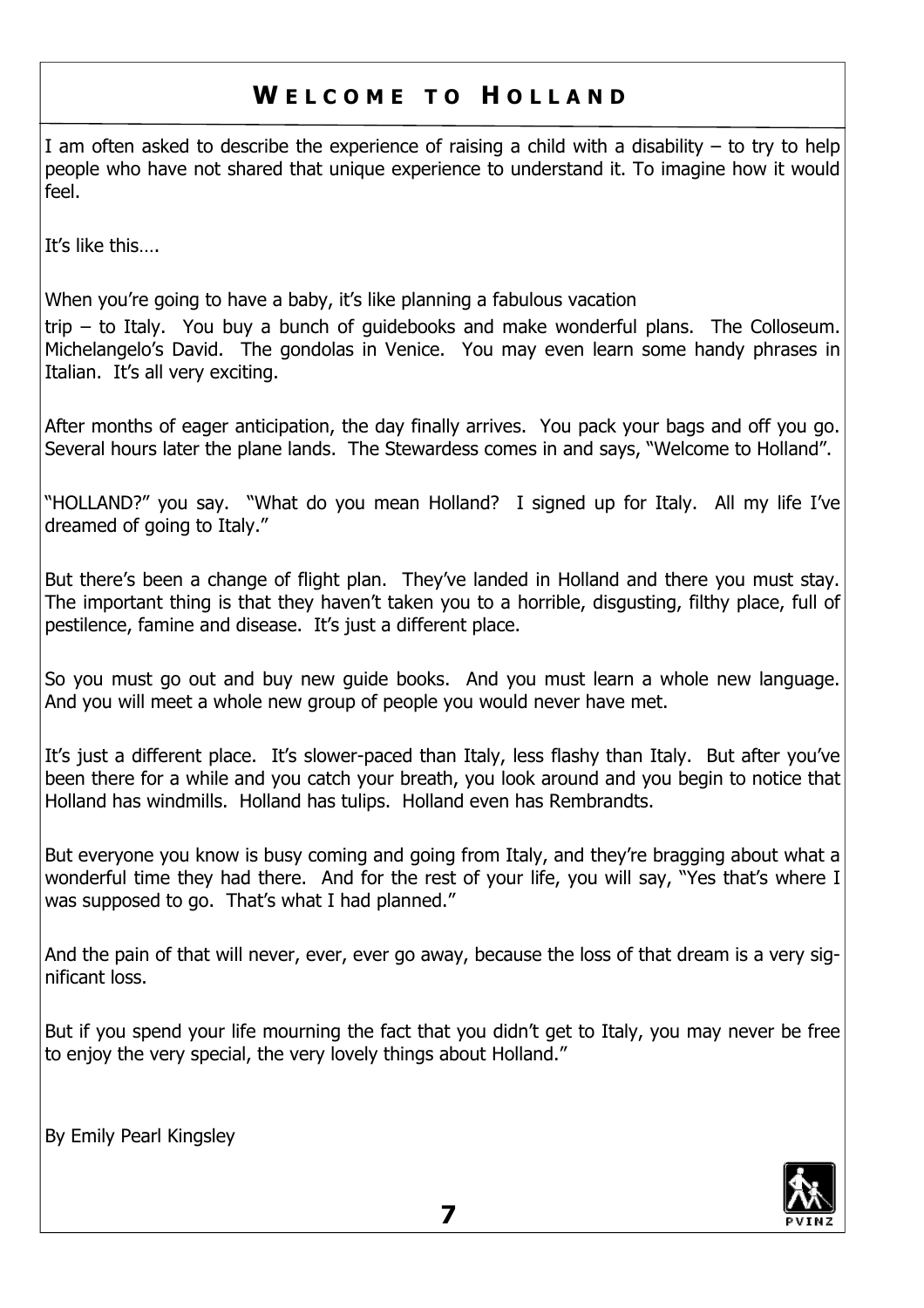## WELCOME TO HOLLAND

I am often asked to describe the experience of raising a child with a disability – to try to help people who have not shared that unique experience to understand it. To imagine how it would feel.

It's like this….

When you're going to have a baby, it's like planning a fabulous vacation

trip – to Italy. You buy a bunch of guidebooks and make wonderful plans. The Colloseum. Michelangelo's David. The gondolas in Venice. You may even learn some handy phrases in Italian. It's all very exciting.

After months of eager anticipation, the day finally arrives. You pack your bags and off you go. Several hours later the plane lands. The Stewardess comes in and says, "Welcome to Holland".

"HOLLAND?" you say. "What do you mean Holland? I signed up for Italy. All my life I've dreamed of going to Italy."

But there's been a change of flight plan. They've landed in Holland and there you must stay. The important thing is that they haven't taken you to a horrible, disgusting, filthy place, full of pestilence, famine and disease. It's just a different place.

So you must go out and buy new guide books. And you must learn a whole new language. And you will meet a whole new group of people you would never have met.

It's just a different place. It's slower-paced than Italy, less flashy than Italy. But after you've been there for a while and you catch your breath, you look around and you begin to notice that Holland has windmills. Holland has tulips. Holland even has Rembrandts.

But everyone you know is busy coming and going from Italy, and they're bragging about what a wonderful time they had there. And for the rest of your life, you will say, "Yes that's where I was supposed to go. That's what I had planned."

And the pain of that will never, ever, ever go away, because the loss of that dream is a very significant loss.

But if you spend your life mourning the fact that you didn't get to Italy, you may never be free to enjoy the very special, the very lovely things about Holland."

By Emily Pearl Kingsley

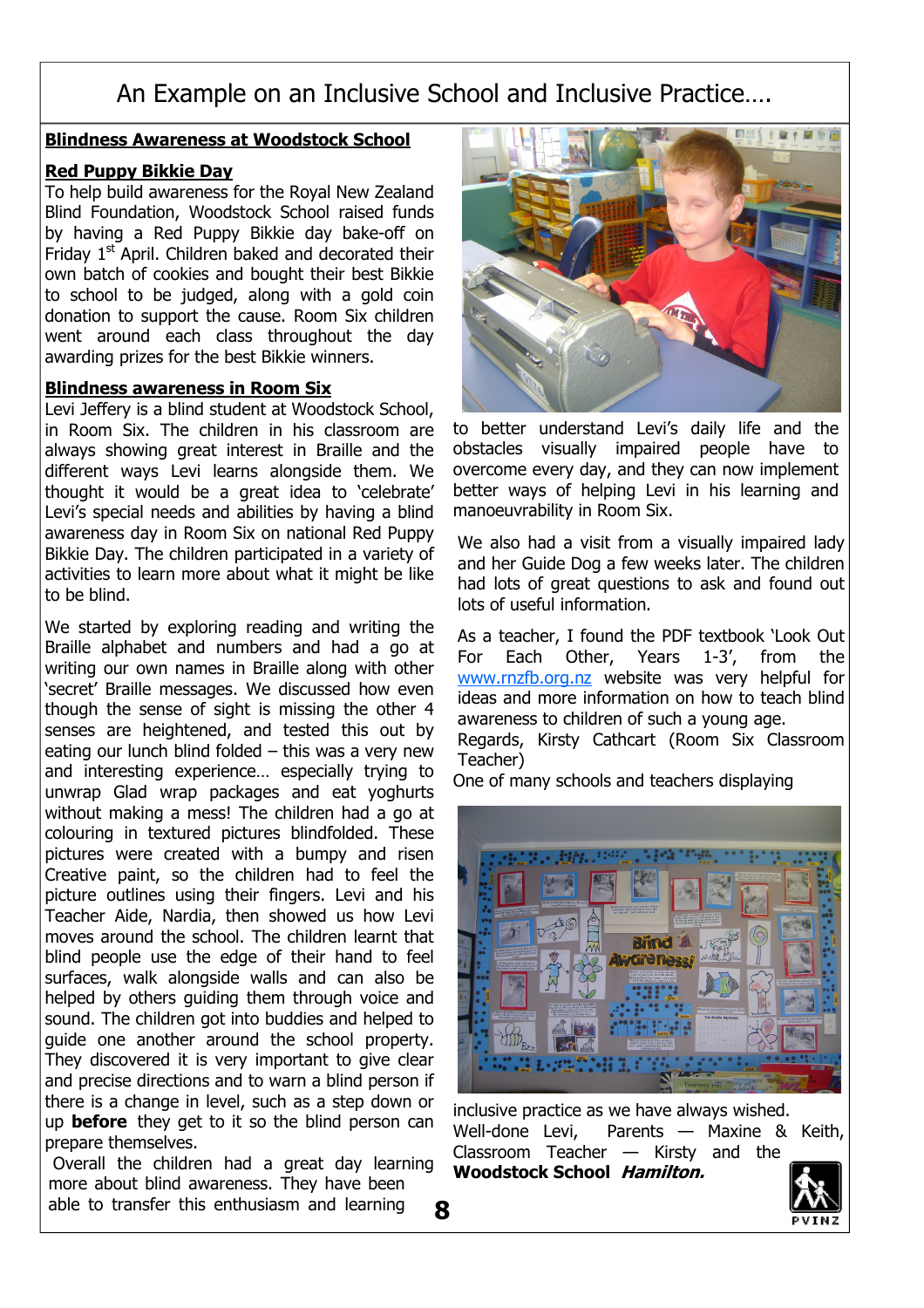## An Example on an Inclusive School and Inclusive Practice….

#### Blindness Awareness at Woodstock School

#### Red Puppy Bikkie Day

To help build awareness for the Royal New Zealand Blind Foundation, Woodstock School raised funds by having a Red Puppy Bikkie day bake-off on Friday  $1<sup>st</sup>$  April. Children baked and decorated their own batch of cookies and bought their best Bikkie to school to be judged, along with a gold coin donation to support the cause. Room Six children went around each class throughout the day awarding prizes for the best Bikkie winners.

#### Blindness awareness in Room Six

Levi Jeffery is a blind student at Woodstock School, in Room Six. The children in his classroom are always showing great interest in Braille and the different ways Levi learns alongside them. We thought it would be a great idea to 'celebrate' Levi's special needs and abilities by having a blind awareness day in Room Six on national Red Puppy Bikkie Day. The children participated in a variety of activities to learn more about what it might be like to be blind.

We started by exploring reading and writing the Braille alphabet and numbers and had a go at writing our own names in Braille along with other 'secret' Braille messages. We discussed how even though the sense of sight is missing the other 4 senses are heightened, and tested this out by eating our lunch blind folded  $-$  this was a very new and interesting experience… especially trying to unwrap Glad wrap packages and eat yoghurts without making a mess! The children had a go at colouring in textured pictures blindfolded. These pictures were created with a bumpy and risen Creative paint, so the children had to feel the picture outlines using their fingers. Levi and his Teacher Aide, Nardia, then showed us how Levi moves around the school. The children learnt that blind people use the edge of their hand to feel surfaces, walk alongside walls and can also be helped by others guiding them through voice and sound. The children got into buddies and helped to guide one another around the school property. They discovered it is very important to give clear and precise directions and to warn a blind person if there is a change in level, such as a step down or up **before** they get to it so the blind person can prepare themselves.

Overall the children had a great day learning more about blind awareness. They have been able to transfer this enthusiasm and learning



to better understand Levi's daily life and the obstacles visually impaired people have to overcome every day, and they can now implement better ways of helping Levi in his learning and manoeuvrability in Room Six.

We also had a visit from a visually impaired lady and her Guide Dog a few weeks later. The children had lots of great questions to ask and found out lots of useful information.

As a teacher, I found the PDF textbook 'Look Out<br>For Each Other, Years 1-3', from the For Each Other, Years 1-3', from the www.rnzfb.org.nz website was very helpful for ideas and more information on how to teach blind awareness to children of such a young age.

Regards, Kirsty Cathcart (Room Six Classroom Teacher)

One of many schools and teachers displaying



inclusive practice as we have always wished. Well-done Levi, Parents — Maxine & Keith, Classroom Teacher — Kirsty and the Woodstock School Hamilton.

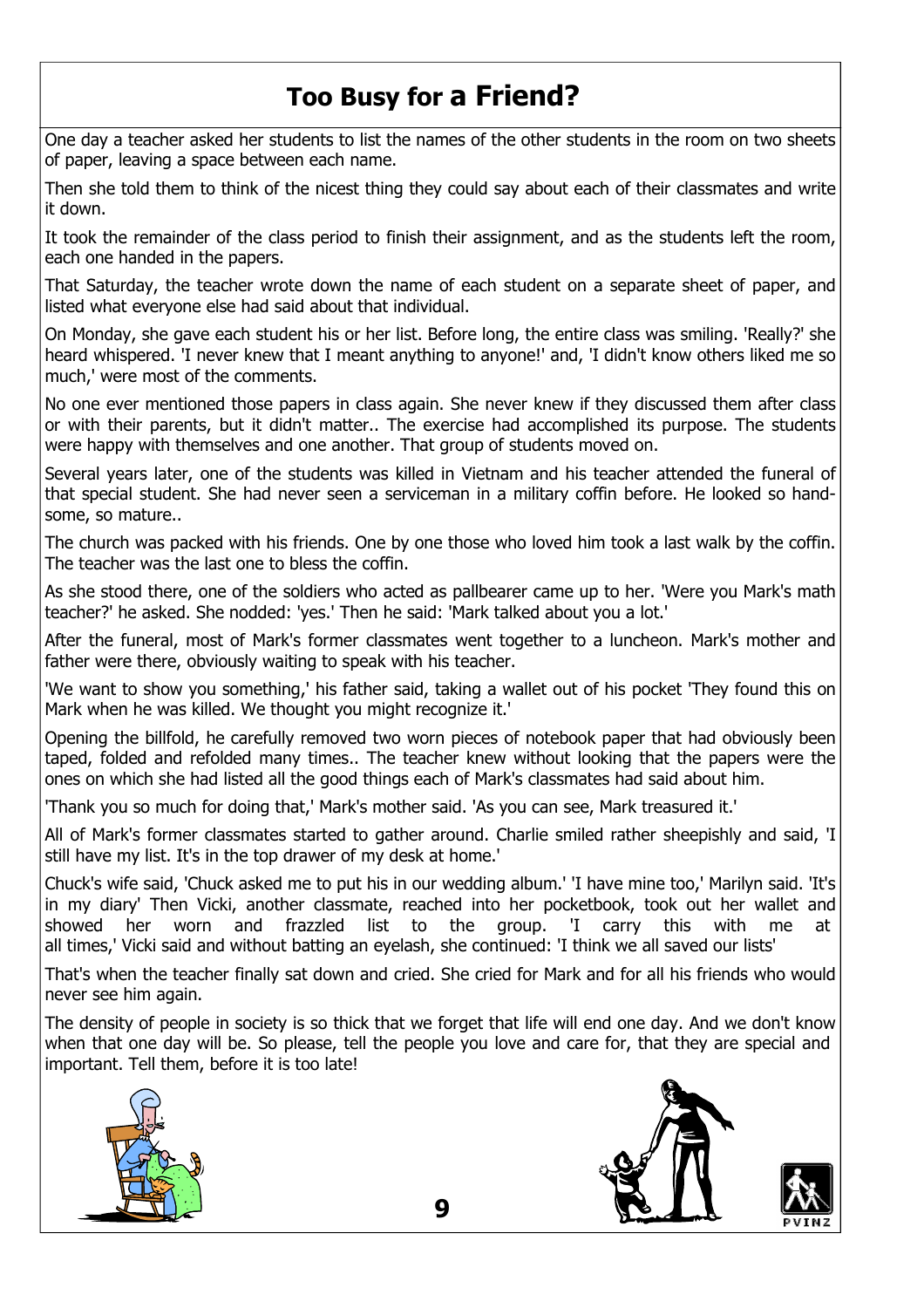# Too Busy for a Friend?

One day a teacher asked her students to list the names of the other students in the room on two sheets of paper, leaving a space between each name.

Then she told them to think of the nicest thing they could say about each of their classmates and write it down.

It took the remainder of the class period to finish their assignment, and as the students left the room, each one handed in the papers.

That Saturday, the teacher wrote down the name of each student on a separate sheet of paper, and listed what everyone else had said about that individual.

On Monday, she gave each student his or her list. Before long, the entire class was smiling. 'Really?' she heard whispered. 'I never knew that I meant anything to anyone!' and, 'I didn't know others liked me so much,' were most of the comments.

No one ever mentioned those papers in class again. She never knew if they discussed them after class or with their parents, but it didn't matter.. The exercise had accomplished its purpose. The students were happy with themselves and one another. That group of students moved on.

Several years later, one of the students was killed in Vietnam and his teacher attended the funeral of that special student. She had never seen a serviceman in a military coffin before. He looked so handsome, so mature..

The church was packed with his friends. One by one those who loved him took a last walk by the coffin. The teacher was the last one to bless the coffin.

As she stood there, one of the soldiers who acted as pallbearer came up to her. 'Were you Mark's math teacher?' he asked. She nodded: 'yes.' Then he said: 'Mark talked about you a lot.'

After the funeral, most of Mark's former classmates went together to a luncheon. Mark's mother and father were there, obviously waiting to speak with his teacher.

'We want to show you something,' his father said, taking a wallet out of his pocket 'They found this on Mark when he was killed. We thought you might recognize it.'

Opening the billfold, he carefully removed two worn pieces of notebook paper that had obviously been taped, folded and refolded many times.. The teacher knew without looking that the papers were the ones on which she had listed all the good things each of Mark's classmates had said about him.

'Thank you so much for doing that,' Mark's mother said. 'As you can see, Mark treasured it.'

All of Mark's former classmates started to gather around. Charlie smiled rather sheepishly and said, 'I still have my list. It's in the top drawer of my desk at home.'

Chuck's wife said, 'Chuck asked me to put his in our wedding album.' 'I have mine too,' Marilyn said. 'It's in my diary' Then Vicki, another classmate, reached into her pocketbook, took out her wallet and showed her worn and frazzled list to the group. 'I carry this with me at all times,' Vicki said and without batting an eyelash, she continued: 'I think we all saved our lists'

That's when the teacher finally sat down and cried. She cried for Mark and for all his friends who would never see him again.

The density of people in society is so thick that we forget that life will end one day. And we don't know when that one day will be. So please, tell the people you love and care for, that they are special and important. Tell them, before it is too late!



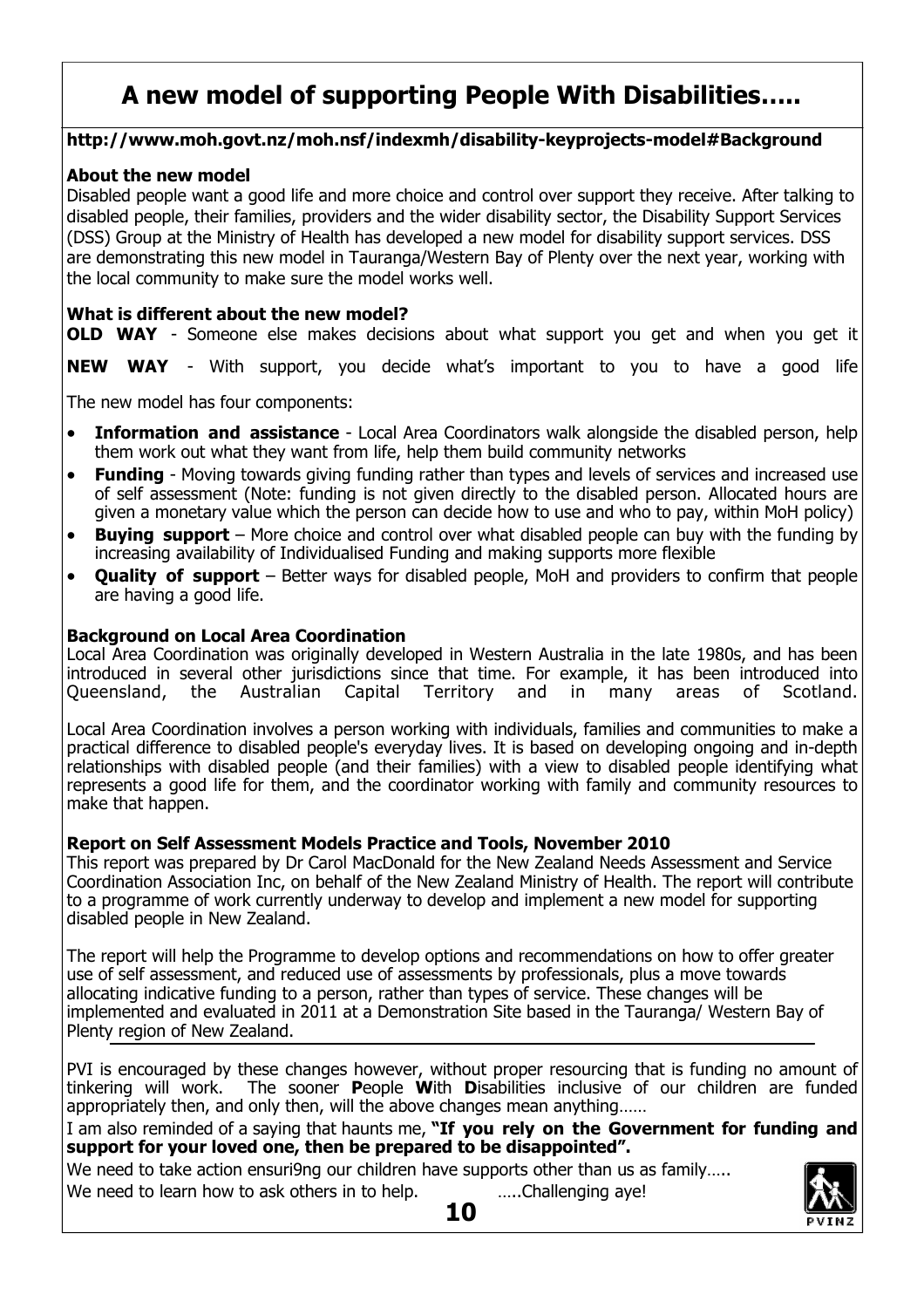# A new model of supporting People With Disabilities…..

#### http://www.moh.govt.nz/moh.nsf/indexmh/disability-keyprojects-model#Background

#### About the new model

Disabled people want a good life and more choice and control over support they receive. After talking to disabled people, their families, providers and the wider disability sector, the Disability Support Services (DSS) Group at the Ministry of Health has developed a new model for disability support services. DSS are demonstrating this new model in Tauranga/Western Bay of Plenty over the next year, working with the local community to make sure the model works well.

#### What is different about the new model?

**OLD WAY** - Someone else makes decisions about what support you get and when you get it

NEW WAY - With support, you decide what's important to you to have a good life

The new model has four components:

- Information and assistance Local Area Coordinators walk alongside the disabled person, help them work out what they want from life, help them build community networks
- Funding Moving towards giving funding rather than types and levels of services and increased use of self assessment (Note: funding is not given directly to the disabled person. Allocated hours are given a monetary value which the person can decide how to use and who to pay, within MoH policy)
- Buying support More choice and control over what disabled people can buy with the funding by increasing availability of Individualised Funding and making supports more flexible
- **Quality of support** Better ways for disabled people, MoH and providers to confirm that people are having a good life.

#### Background on Local Area Coordination

Local Area Coordination was originally developed in Western Australia in the late 1980s, and has been introduced in several other jurisdictions since that time. For example, it has been introduced into Oueensland,<br>Oueensland, the Australian Capital Territory and in many areas of Scotland. Australian Capital Territory and in

Local Area Coordination involves a person working with individuals, families and communities to make a practical difference to disabled people's everyday lives. It is based on developing ongoing and in-depth relationships with disabled people (and their families) with a view to disabled people identifying what represents a good life for them, and the coordinator working with family and community resources to make that happen.

#### Report on Self Assessment Models Practice and Tools, November 2010

This report was prepared by Dr Carol MacDonald for the New Zealand Needs Assessment and Service Coordination Association Inc, on behalf of the New Zealand Ministry of Health. The report will contribute to a programme of work currently underway to develop and implement a new model for supporting disabled people in New Zealand.

The report will help the Programme to develop options and recommendations on how to offer greater use of self assessment, and reduced use of assessments by professionals, plus a move towards allocating indicative funding to a person, rather than types of service. These changes will be implemented and evaluated in 2011 at a Demonstration Site based in the Tauranga/ Western Bay of Plenty region of New Zealand.

PVI is encouraged by these changes however, without proper resourcing that is funding no amount of tinkering will work. The sooner **P**eople With Disabilities inclusive of our children are funded appropriately then, and only then, will the above changes mean anything……

I am also reminded of a saying that haunts me, "If you rely on the Government for funding and support for your loved one, then be prepared to be disappointed".

We need to take action ensuri9ng our children have supports other than us as family..... We need to learn how to ask others in to help. **Example 20** .....Challenging aye!



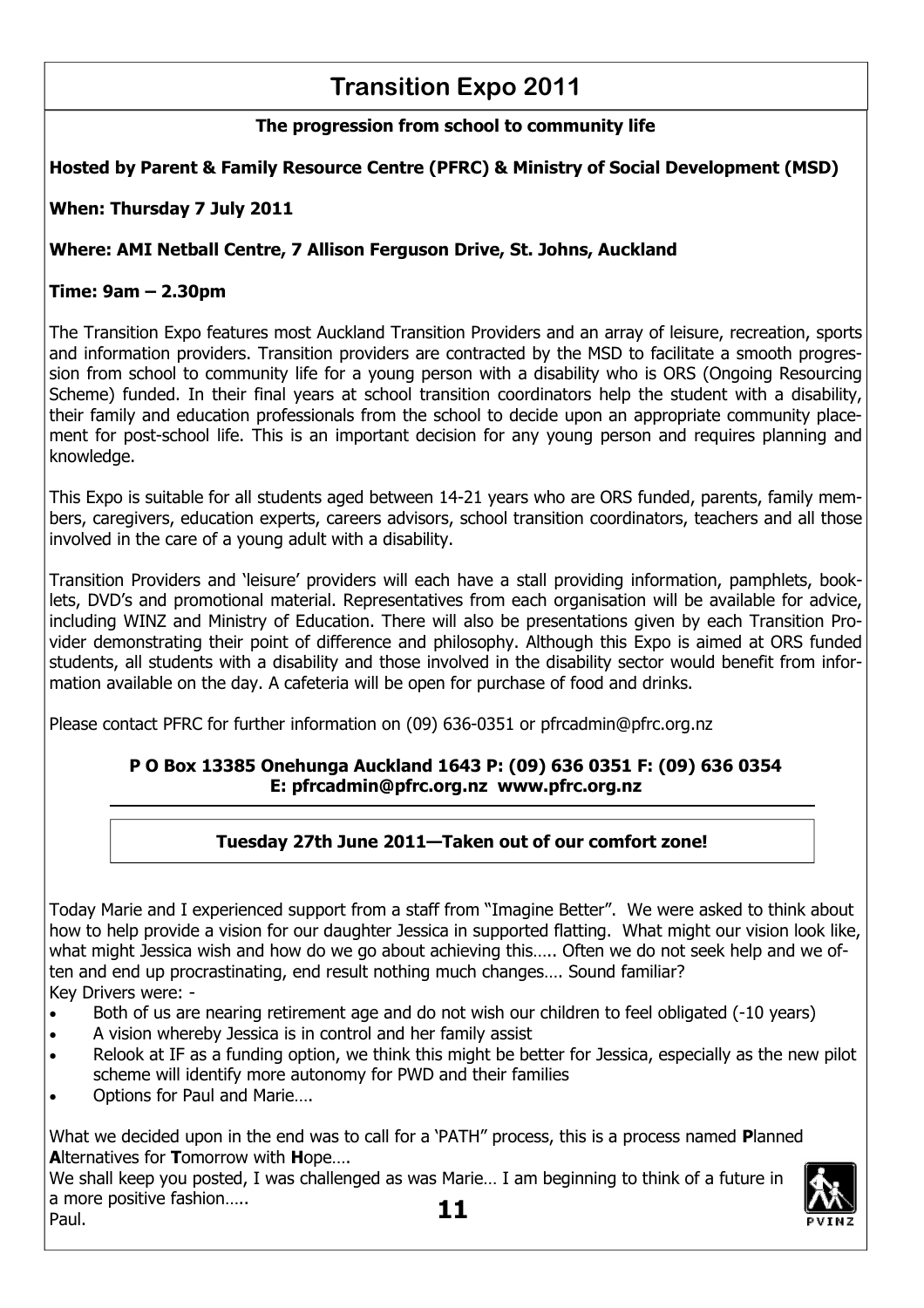## **Transition Expo 2011**

#### The progression from school to community life

#### Hosted by Parent & Family Resource Centre (PFRC) & Ministry of Social Development (MSD)

#### When: Thursday 7 July 2011

#### Where: AMI Netball Centre, 7 Allison Ferguson Drive, St. Johns, Auckland

#### Time: 9am – 2.30pm

The Transition Expo features most Auckland Transition Providers and an array of leisure, recreation, sports and information providers. Transition providers are contracted by the MSD to facilitate a smooth progression from school to community life for a young person with a disability who is ORS (Ongoing Resourcing Scheme) funded. In their final years at school transition coordinators help the student with a disability, their family and education professionals from the school to decide upon an appropriate community placement for post-school life. This is an important decision for any young person and requires planning and knowledge.

This Expo is suitable for all students aged between 14-21 years who are ORS funded, parents, family members, caregivers, education experts, careers advisors, school transition coordinators, teachers and all those involved in the care of a young adult with a disability.

Transition Providers and 'leisure' providers will each have a stall providing information, pamphlets, booklets, DVD's and promotional material. Representatives from each organisation will be available for advice, including WINZ and Ministry of Education. There will also be presentations given by each Transition Provider demonstrating their point of difference and philosophy. Although this Expo is aimed at ORS funded students, all students with a disability and those involved in the disability sector would benefit from information available on the day. A cafeteria will be open for purchase of food and drinks.

Please contact PFRC for further information on (09) 636-0351 or pfrcadmin@pfrc.org.nz

#### P O Box 13385 Onehunga Auckland 1643 P: (09) 636 0351 F: (09) 636 0354 E: pfrcadmin@pfrc.org.nz www.pfrc.org.nz

#### Tuesday 27th June 2011—Taken out of our comfort zone!

Today Marie and I experienced support from a staff from "Imagine Better". We were asked to think about how to help provide a vision for our daughter Jessica in supported flatting. What might our vision look like, what might Jessica wish and how do we go about achieving this….. Often we do not seek help and we often and end up procrastinating, end result nothing much changes…. Sound familiar? Key Drivers were: -

- Both of us are nearing retirement age and do not wish our children to feel obligated (-10 years)
- A vision whereby Jessica is in control and her family assist
- Relook at IF as a funding option, we think this might be better for Jessica, especially as the new pilot scheme will identify more autonomy for PWD and their families
- Options for Paul and Marie….

What we decided upon in the end was to call for a 'PATH" process, this is a process named **P**lanned Alternatives for Tomorrow with Hope....

We shall keep you posted, I was challenged as was Marie… I am beginning to think of a future in a more positive fashion….. Paul. 11

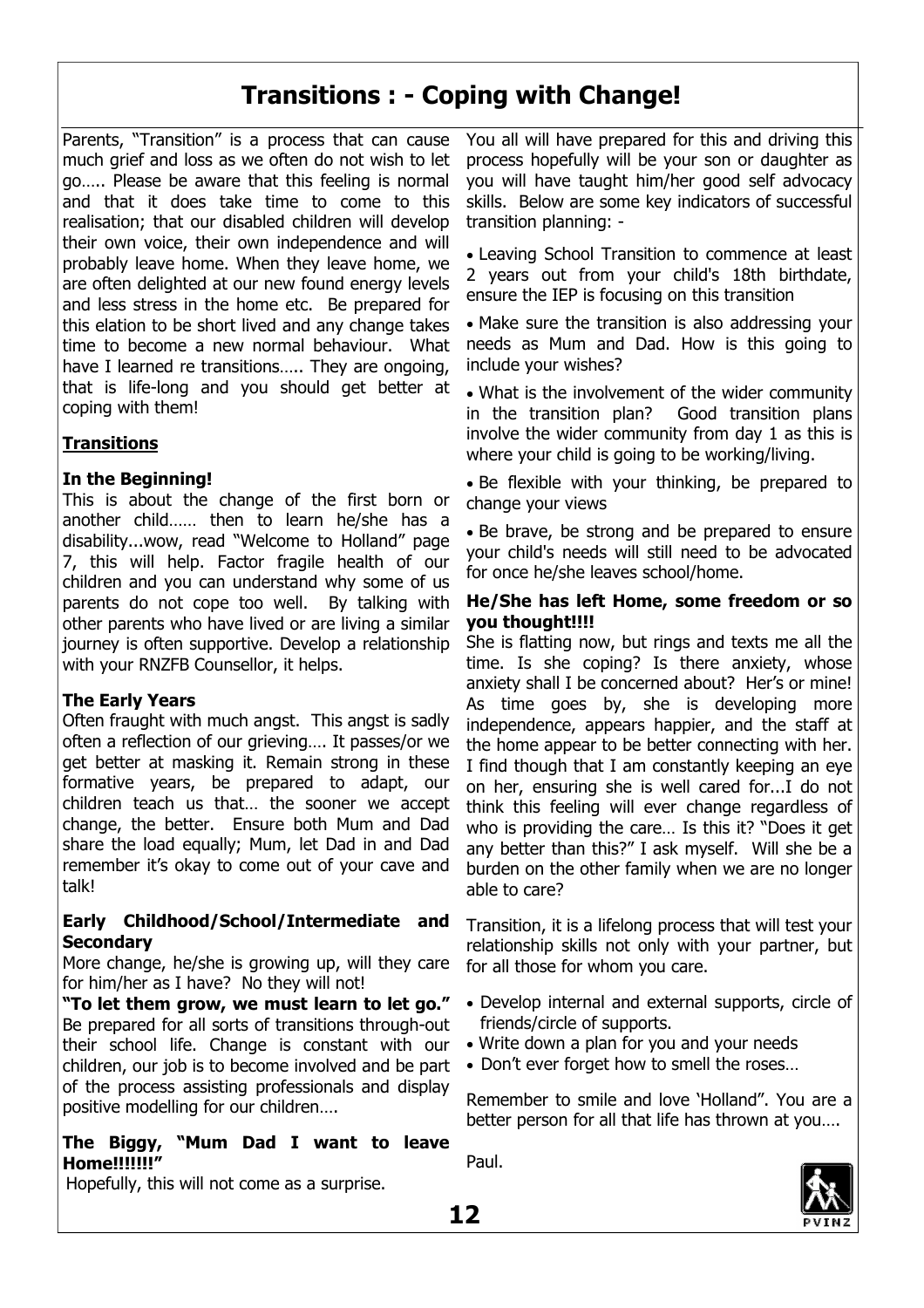# Transitions : - Coping with Change!

Parents, "Transition" is a process that can cause much grief and loss as we often do not wish to let go….. Please be aware that this feeling is normal and that it does take time to come to this realisation; that our disabled children will develop their own voice, their own independence and will probably leave home. When they leave home, we are often delighted at our new found energy levels and less stress in the home etc. Be prepared for this elation to be short lived and any change takes time to become a new normal behaviour. What have I learned re transitions..... They are ongoing, that is life-long and you should get better at coping with them!

#### **Transitions**

#### In the Beginning!

This is about the change of the first born or another child…… then to learn he/she has a disability...wow, read "Welcome to Holland" page 7, this will help. Factor fragile health of our children and you can understand why some of us parents do not cope too well. By talking with other parents who have lived or are living a similar journey is often supportive. Develop a relationship with your RNZFB Counsellor, it helps.

#### The Early Years

Often fraught with much angst. This angst is sadly often a reflection of our grieving…. It passes/or we get better at masking it. Remain strong in these formative years, be prepared to adapt, our children teach us that… the sooner we accept change, the better. Ensure both Mum and Dad share the load equally; Mum, let Dad in and Dad remember it's okay to come out of your cave and talk!

#### Early Childhood/School/Intermediate and **Secondary**

More change, he/she is growing up, will they care for him/her as I have? No they will not!

"To let them grow, we must learn to let go." Be prepared for all sorts of transitions through-out their school life. Change is constant with our children, our job is to become involved and be part of the process assisting professionals and display positive modelling for our children….

#### The Biggy, "Mum Dad I want to leave Home!!!!!!!"

Hopefully, this will not come as a surprise.

You all will have prepared for this and driving this process hopefully will be your son or daughter as you will have taught him/her good self advocacy skills. Below are some key indicators of successful transition planning: -

• Leaving School Transition to commence at least 2 years out from your child's 18th birthdate, ensure the IEP is focusing on this transition

• Make sure the transition is also addressing your needs as Mum and Dad. How is this going to include your wishes?

• What is the involvement of the wider community in the transition plan? Good transition plans involve the wider community from day 1 as this is where your child is going to be working/living.

• Be flexible with your thinking, be prepared to change your views

• Be brave, be strong and be prepared to ensure your child's needs will still need to be advocated for once he/she leaves school/home.

#### He/She has left Home, some freedom or so you thought!!!!

She is flatting now, but rings and texts me all the time. Is she coping? Is there anxiety, whose anxiety shall I be concerned about? Her's or mine! As time goes by, she is developing more independence, appears happier, and the staff at the home appear to be better connecting with her. I find though that I am constantly keeping an eye on her, ensuring she is well cared for...I do not think this feeling will ever change regardless of who is providing the care… Is this it? "Does it get any better than this?" I ask myself. Will she be a burden on the other family when we are no longer able to care?

Transition, it is a lifelong process that will test your relationship skills not only with your partner, but for all those for whom you care.

- Develop internal and external supports, circle of friends/circle of supports.
- Write down a plan for you and your needs
- Don't ever forget how to smell the roses...

Remember to smile and love 'Holland". You are a better person for all that life has thrown at you….

Paul.



12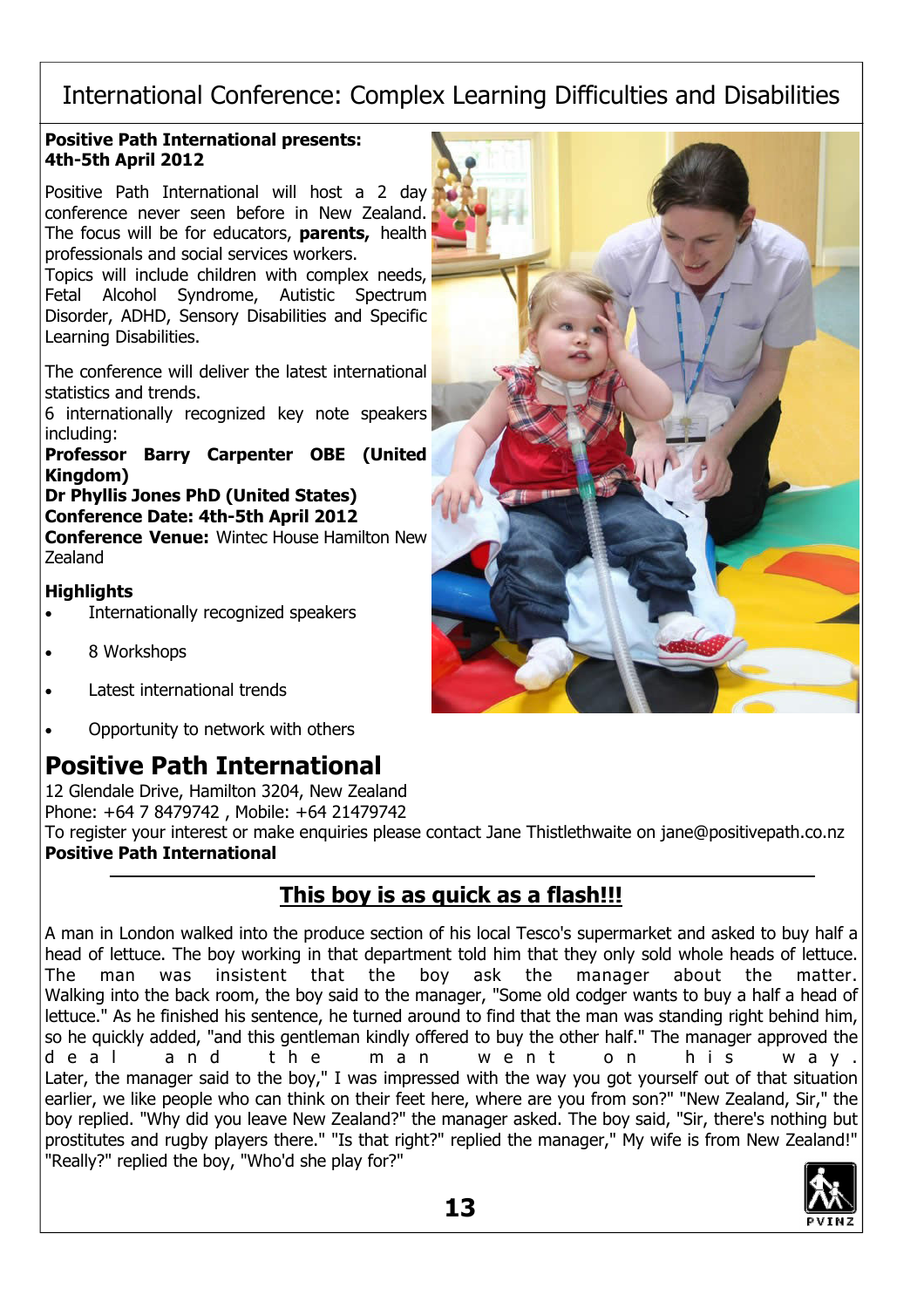# International Conference: Complex Learning Difficulties and Disabilities

#### Positive Path International presents: 4th-5th April 2012

Positive Path International will host a 2 day conference never seen before in New Zealand. The focus will be for educators, **parents**, health professionals and social services workers.

Topics will include children with complex needs, Fetal Alcohol Syndrome, Autistic Spectrum Disorder, ADHD, Sensory Disabilities and Specific Learning Disabilities.

The conference will deliver the latest international statistics and trends.

6 internationally recognized key note speakers including:

Professor Barry Carpenter OBE (United Kingdom)

#### Dr Phyllis Jones PhD (United States) Conference Date: 4th-5th April 2012

Conference Venue: Wintec House Hamilton New Zealand

#### **Highlights**

- Internationally recognized speakers
- 8 Workshops
- Latest international trends
- Opportunity to network with others

# Positive Path International

12 Glendale Drive, Hamilton 3204, New Zealand Phone: +64 7 8479742 , Mobile: +64 21479742

To register your interest or make enquiries please contact Jane Thistlethwaite on jane@positivepath.co.nz Positive Path International

## This boy is as quick as a flash!!!

A man in London walked into the produce section of his local Tesco's supermarket and asked to buy half a head of lettuce. The boy working in that department told him that they only sold whole heads of lettuce. The man was insistent that the boy ask the manager about the matter. Walking into the back room, the boy said to the manager, "Some old codger wants to buy a half a head of lettuce." As he finished his sentence, he turned around to find that the man was standing right behind him, so he quickly added, "and this gentleman kindly offered to buy the other half." The manager approved the deal and the man went on his way.| Later, the manager said to the boy," I was impressed with the way you got yourself out of that situation earlier, we like people who can think on their feet here, where are you from son?" "New Zealand, Sir," the boy replied. "Why did you leave New Zealand?" the manager asked. The boy said, "Sir, there's nothing but prostitutes and rugby players there." "Is that right?" replied the manager," My wife is from New Zealand!" "Really?" replied the boy, "Who'd she play for?"



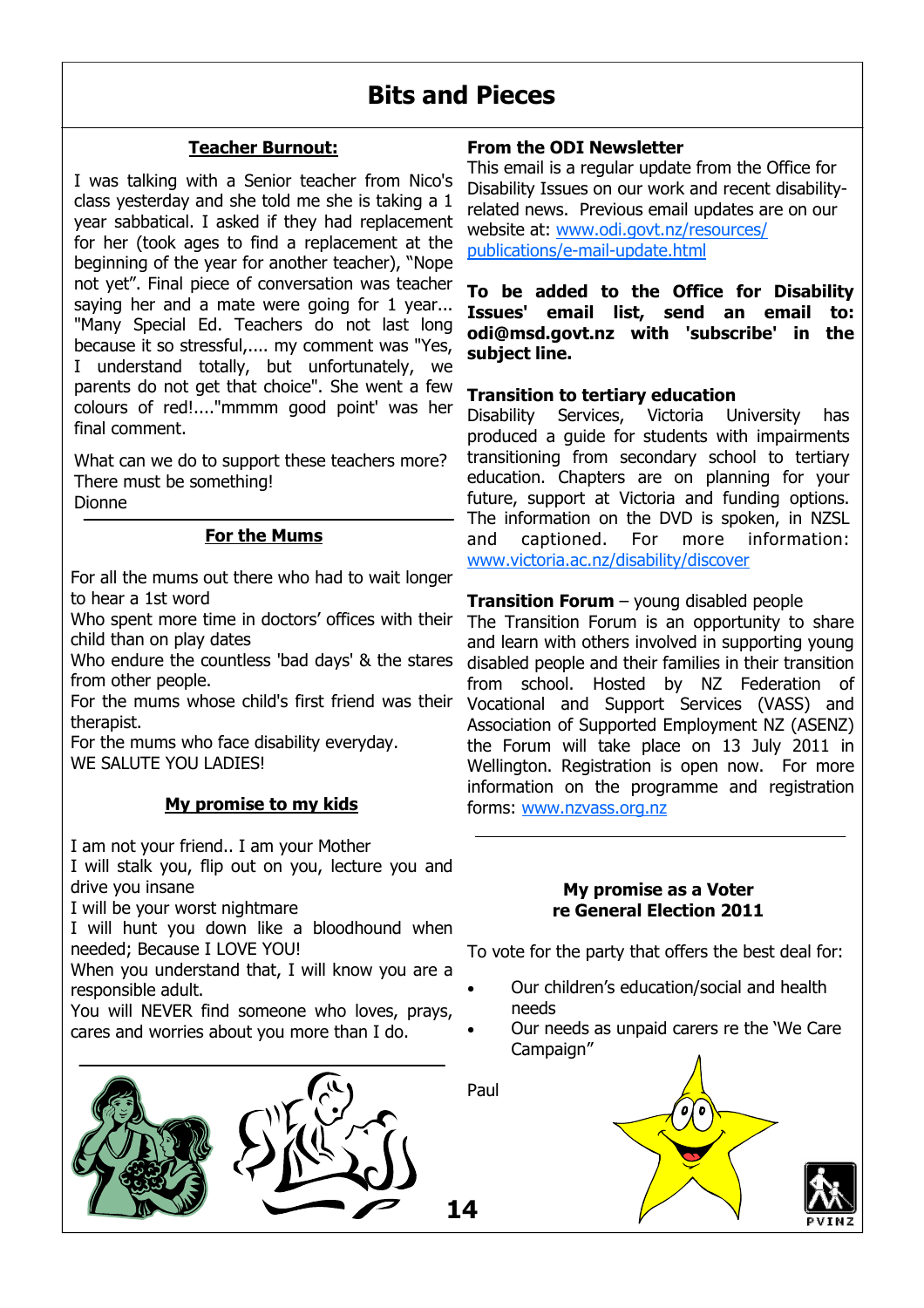## Bits and Pieces

#### Teacher Burnout:

I was talking with a Senior teacher from Nico's class yesterday and she told me she is taking a 1 year sabbatical. I asked if they had replacement for her (took ages to find a replacement at the beginning of the year for another teacher), "Nope not yet". Final piece of conversation was teacher saying her and a mate were going for 1 year... "Many Special Ed. Teachers do not last long because it so stressful,.... my comment was "Yes, I understand totally, but unfortunately, we parents do not get that choice". She went a few colours of red!...."mmmm good point' was her final comment.

What can we do to support these teachers more? There must be something!

Dionne

#### For the Mums

For all the mums out there who had to wait longer to hear a 1st word

Who spent more time in doctors' offices with their child than on play dates

Who endure the countless 'bad days' & the stares from other people.

For the mums whose child's first friend was their therapist.

For the mums who face disability everyday. WE SALUTE YOU LADIES!

#### My promise to my kids

I am not your friend.. I am your Mother

I will stalk you, flip out on you, lecture you and drive you insane

I will be your worst nightmare

I will hunt you down like a bloodhound when needed; Because I LOVE YOU!

When you understand that, I will know you are a responsible adult.

You will NEVER find someone who loves, prays, cares and worries about you more than I do.



#### From the ODI Newsletter

This email is a regular update from the Office for Disability Issues on our work and recent disabilityrelated news. Previous email updates are on our website at: www.odi.govt.nz/resources/ publications/e-mail-update.html

To be added to the Office for Disability Issues' email list, send an email to: odi@msd.govt.nz with 'subscribe' in the subject line.

#### Transition to tertiary education

Disability Services, Victoria University has produced a guide for students with impairments transitioning from secondary school to tertiary education. Chapters are on planning for your future, support at Victoria and funding options. The information on the DVD is spoken, in NZSL and captioned. For more information: www.victoria.ac.nz/disability/discover

#### **Transition Forum**  $-$  young disabled people

The Transition Forum is an opportunity to share and learn with others involved in supporting young disabled people and their families in their transition from school. Hosted by NZ Federation of Vocational and Support Services (VASS) and Association of Supported Employment NZ (ASENZ) the Forum will take place on 13 July 2011 in Wellington. Registration is open now. For more information on the programme and registration forms: www.nzvass.org.nz

#### My promise as a Voter re General Election 2011

To vote for the party that offers the best deal for:

• Our children's education/social and health needs

Paul

• Our needs as unpaid carers re the 'We Care Campaign"

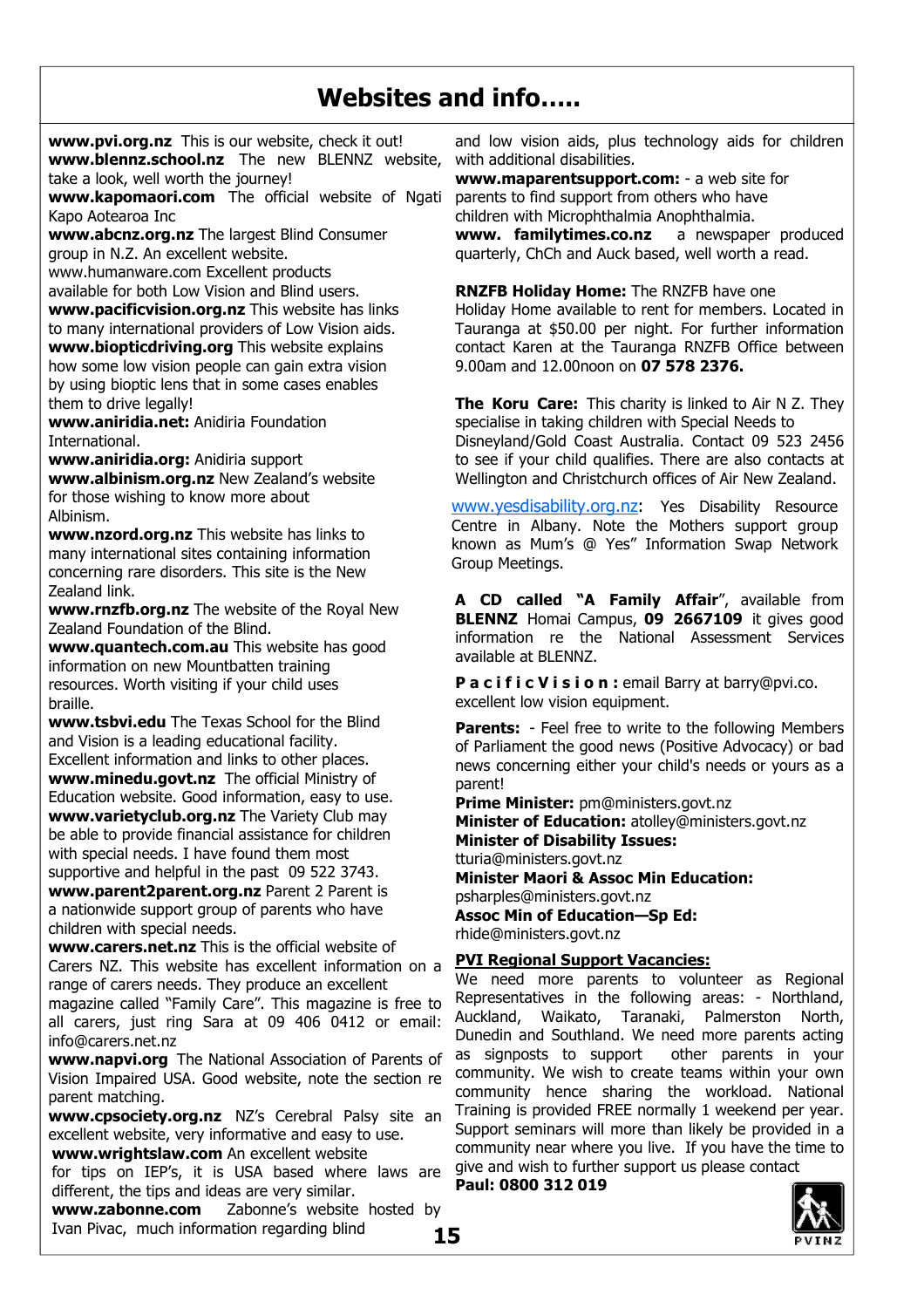## Websites and info…..

www.pvi.org.nz This is our website, check it out! www.blennz.school.nz The new BLENNZ website, take a look, well worth the journey!

www.kapomaori.com The official website of Ngati Kapo Aotearoa Inc

www.abcnz.org.nz The largest Blind Consumer group in N.Z. An excellent website.

www.humanware.com Excellent products

available for both Low Vision and Blind users.

www.pacificvision.org.nz This website has links to many international providers of Low Vision aids. www.biopticdriving.org This website explains how some low vision people can gain extra vision by using bioptic lens that in some cases enables them to drive legally!

www.aniridia.net: Anidiria Foundation **International** 

www.aniridia.org: Anidiria support www.albinism.org.nz New Zealand's website for those wishing to know more about Albinism.

www.nzord.org.nz This website has links to many international sites containing information concerning rare disorders. This site is the New Zealand link.

www.rnzfb.org.nz The website of the Royal New Zealand Foundation of the Blind.

www.quantech.com.au This website has good information on new Mountbatten training resources. Worth visiting if your child uses braille.

www.tsbvi.edu The Texas School for the Blind and Vision is a leading educational facility. Excellent information and links to other places. www.minedu.govt.nz The official Ministry of Education website. Good information, easy to use. www.varietyclub.org.nz The Variety Club may be able to provide financial assistance for children with special needs. I have found them most supportive and helpful in the past 09 522 3743.

www.parent2parent.org.nz Parent 2 Parent is a nationwide support group of parents who have children with special needs.

www.carers.net.nz This is the official website of Carers NZ. This website has excellent information on a range of carers needs. They produce an excellent

magazine called "Family Care". This magazine is free to all carers, just ring Sara at 09 406 0412 or email: info@carers.net.nz

www.napvi.org The National Association of Parents of Vision Impaired USA. Good website, note the section re parent matching.

www.cpsociety.org.nz NZ's Cerebral Palsy site an excellent website, very informative and easy to use. www.wrightslaw.com An excellent website

for tips on IEP's, it is USA based where laws are different, the tips and ideas are very similar.

15 www.zabonne.com Zabonne's website hosted by Ivan Pivac, much information regarding blind

and low vision aids, plus technology aids for children with additional disabilities.

www.maparentsupport.com: - a web site for parents to find support from others who have children with Microphthalmia Anophthalmia.

www. familytimes.co.nz a newspaper produced quarterly, ChCh and Auck based, well worth a read.

**RNZFB Holiday Home:** The RNZFB have one

Holiday Home available to rent for members. Located in Tauranga at \$50.00 per night. For further information contact Karen at the Tauranga RNZFB Office between 9.00am and 12.00noon on **07 578 2376.** 

The Koru Care: This charity is linked to Air N Z. They specialise in taking children with Special Needs to Disneyland/Gold Coast Australia. Contact 09 523 2456 to see if your child qualifies. There are also contacts at Wellington and Christchurch offices of Air New Zealand.

www.yesdisability.org.nz: Yes Disability Resource Centre in Albany. Note the Mothers support group known as Mum's @ Yes" Information Swap Network Group Meetings.

A CD called "A Family Affair", available from BLENNZ Homai Campus, 09 2667109 it gives good information re the National Assessment Services available at BLENNZ.

P a c i f i c V i s i o n : email Barry at barry@pvi.co. excellent low vision equipment.

**Parents:** - Feel free to write to the following Members of Parliament the good news (Positive Advocacy) or bad news concerning either your child's needs or yours as a parent!

Prime Minister: pm@ministers.govt.nz Minister of Education: atolley@ministers.govt.nz Minister of Disability Issues: tturia@ministers.govt.nz Minister Maori & Assoc Min Education: psharples@ministers.govt.nz Assoc Min of Education—Sp Ed:

rhide@ministers.govt.nz

#### PVI Regional Support Vacancies:

We need more parents to volunteer as Regional Representatives in the following areas: - Northland, Auckland, Waikato, Taranaki, Palmerston North, Dunedin and Southland. We need more parents acting as signposts to support other parents in your community. We wish to create teams within your own community hence sharing the workload. National Training is provided FREE normally 1 weekend per year. Support seminars will more than likely be provided in a community near where you live. If you have the time to give and wish to further support us please contact

Paul: 0800 312 019